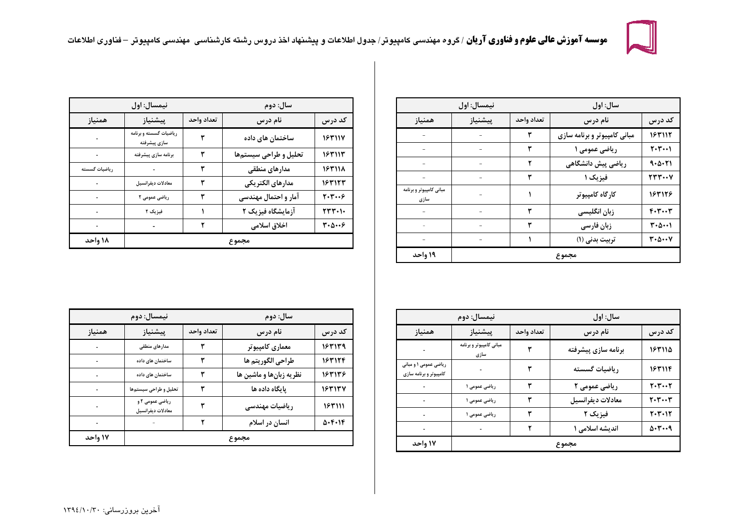

|                                 | نيمسال: اول |            | سال: اول                     |                                |
|---------------------------------|-------------|------------|------------------------------|--------------------------------|
| همنياز                          | پيشنياز     | تعداد واحد | نام درس                      | كد درس                         |
|                                 |             | ٣          | مبانی کامپیوتر و برنامه سازی | 183117                         |
|                                 |             | ٣          | ریاضی عمومی ۱                | $Y - Y - 1$                    |
|                                 |             | ٢          | ریاضی پیش دانشگاهی           | 9.0.71                         |
|                                 |             | ٣          | فیزیک ۱                      | <b>237.08</b>                  |
| مبانی کامپیوتر و برنامه<br>سازى |             |            | كارگاه كامپيوتر              | 163126                         |
|                                 |             | ٣          | زبان انگلیسی                 | $F - T - T$                    |
|                                 |             | ٣          | زبان فارسى                   | $T - \Delta \cdots$            |
|                                 |             |            | تربيت بدني (١)               | $r \cdot \Delta \cdots \gamma$ |
| ۱۹ واحد                         |             |            | مجموع                        |                                |

| نيمسال: اول   |                                        | سال: دوم   |                      |                                  |
|---------------|----------------------------------------|------------|----------------------|----------------------------------|
| همنياز        | پیشنیاز                                | تعداد واحد | نام درس              | كد درس                           |
|               | ریاضیات گسسته و برنامه<br>سازى پيشرفته | ٣          | ساختمان های داده     | 183114                           |
|               | برنامه سازى پيشرفته                    |            | تحليل وطراحى سيستمها | 187117                           |
| رياضيات گسسته |                                        | ٣          | مدارهای منطقی        | 183118                           |
|               | معادلات ديفرانسيل                      | ۳          | مدارهاى الكتريكي     | 163123                           |
|               | ریاضی عمومی ۲                          |            | آمار و احتمال مهندسی | $r \cdot r \cdot \epsilon$       |
|               | فیزیک ۲                                |            | آزمایشگاه فیزیک ۲    | $TTT+1$                          |
|               |                                        |            | اخلاق اسلامی         | $r \cdot \Delta \cdots \epsilon$ |
| ۱۸ واحد       |                                        |            | مجموع                |                                  |

|                                                 | نيمسال: دوم                     |            | سال: اول            |                           |
|-------------------------------------------------|---------------------------------|------------|---------------------|---------------------------|
| همنياز                                          | پيشنياز                         | تعداد واحد | نام درس             | کد درس                    |
|                                                 | مبانی کامپیوتر و برنامه<br>سازی | ٣          | برنامه سازى پيشرفته | 183114                    |
| ریاضی عمومی ۱ و مبانی<br>کامپیوتر و برنامه سازی |                                 | ٣          | رياضيات گسسته       | 163114                    |
|                                                 | ریاضی عمومی ۱                   |            | ریاضی عمومی ۲       | $Y - Y - Y$               |
|                                                 | ریاضی عمومی ۱                   |            | معادلات ديفرانسيل   | $Y - Y - Y$               |
|                                                 | ریاضی عمومی ۱                   |            | فیزیک ۲             | $Y - Y - 1Y$              |
|                                                 |                                 |            | اندیشه اسلامی ۱     | $\Delta$ . $\mathsf{r}$ 9 |
| ۱۷ واحد                                         |                                 |            | مجموع               |                           |

| نيمسال: دوم |                                      |            | سال: دوم                |                       |
|-------------|--------------------------------------|------------|-------------------------|-----------------------|
| همنياز      | پيشنياز                              | تعداد واحد | نام درس                 | كد درس                |
|             | مدارهای منطقی                        |            | معمارى كامپيوتر         | 183159                |
|             | ساختمان های داده                     |            | طراحي الگوريتم ها       | 163124                |
|             | ساختمان های داده                     |            | نظریه زبانها و ماشین ها | 163136                |
|             | تحليل و طراحى سيستمها                |            | پایگاه داده ها          | 183137                |
|             | ریاضی عمومی ۲ و<br>معادلات ديفرانسيل |            | ریاضیات مهندسی          | 163111                |
|             |                                      |            | انسان در اسلام          | $\Delta$ . $F$ . $1F$ |
| ۱۷ واحد     |                                      |            | مجموع                   |                       |